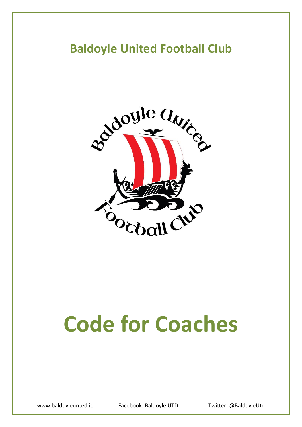## **Baldoyle United Football Club**



# **Code for Coaches**

www.baldoyleunted.ie Facebook: Baldoyle UTD Twitter: @BaldoyleUtd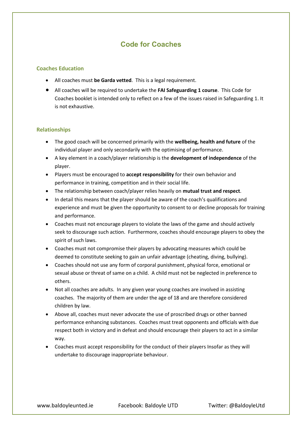### **Code for Coaches**

#### **Coaches Education**

- All coaches must **be Garda vetted**. This is a legal requirement.
- All coaches will be required to undertake the **FAI Safeguarding 1 course**. This Code for Coaches booklet is intended only to reflect on a few of the issues raised in Safeguarding 1. It is not exhaustive.

#### **Relationships**

- The good coach will be concerned primarily with the **wellbeing, health and future** of the individual player and only secondarily with the optimising of performance.
- A key element in a coach/player relationship is the **development of independence** of the player.
- Players must be encouraged to **accept responsibility** for their own behavior and performance in training, competition and in their social life.
- The relationship between coach/player relies heavily on **mutual trust and respect**.
- In detail this means that the player should be aware of the coach's qualifications and experience and must be given the opportunity to consent to or decline proposals for training and performance.
- Coaches must not encourage players to violate the laws of the game and should actively seek to discourage such action. Furthermore, coaches should encourage players to obey the spirit of such laws.
- Coaches must not compromise their players by advocating measures which could be deemed to constitute seeking to gain an unfair advantage (cheating, diving, bullying).
- Coaches should not use any form of corporal punishment, physical force, emotional or sexual abuse or threat of same on a child. A child must not be neglected in preference to others.
- Not all coaches are adults. In any given year young coaches are involved in assisting coaches. The majority of them are under the age of 18 and are therefore considered children by law.
- Above all, coaches must never advocate the use of proscribed drugs or other banned performance enhancing substances. Coaches must treat opponents and officials with due respect both in victory and in defeat and should encourage their players to act in a similar way.
- Coaches must accept responsibility for the conduct of their players Insofar as they will undertake to discourage inappropriate behaviour.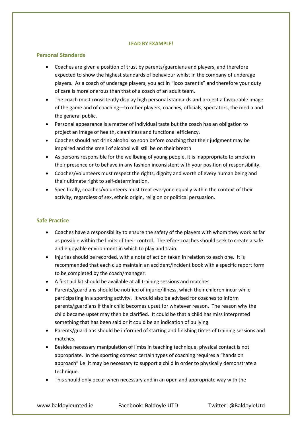#### **LEAD BY EXAMPLE!**

#### **Personal Standards**

- Coaches are given a position of trust by parents/guardians and players, and therefore expected to show the highest standards of behaviour whilst in the company of underage players. As a coach of underage players, you act in "loco parentis" and therefore your duty of care is more onerous than that of a coach of an adult team.
- The coach must consistently display high personal standards and project a favourable image of the game and of coaching—to other players, coaches, officials, spectators, the media and the general public.
- Personal appearance is a matter of individual taste but the coach has an obligation to project an image of health, cleanliness and functional efficiency.
- Coaches should not drink alcohol so soon before coaching that their judgment may be impaired and the smell of alcohol will still be on their breath
- As persons responsible for the wellbeing of young people, it is inappropriate to smoke in their presence or to behave in any fashion inconsistent with your position of responsibility.
- Coaches/volunteers must respect the rights, dignity and worth of every human being and their ultimate right to self-determination.
- Specifically, coaches/volunteers must treat everyone equally within the context of their activity, regardless of sex, ethnic origin, religion or political persuasion.

#### **Safe Practice**

- Coaches have a responsibility to ensure the safety of the players with whom they work as far as possible within the limits of their control. Therefore coaches should seek to create a safe and enjoyable environment in which to play and train.
- Injuries should be recorded, with a note of action taken in relation to each one. It is recommended that each club maintain an accident/incident book with a specific report form to be completed by the coach/manager.
- A first aid kit should be available at all training sessions and matches.
- Parents/guardians should be notified of injurie/illness, which their children incur while participating in a sporting activity. It would also be advised for coaches to inform parents/guardians if their child becomes upset for whatever reason. The reason why the child became upset may then be clarified. It could be that a child has miss interpreted something that has been said or it could be an indication of bullying.
- Parents/guardians should be informed of starting and finishing times of training sessions and matches.
- Besides necessary manipulation of limbs in teaching technique, physical contact is not appropriate. In the sporting context certain types of coaching requires a "hands on approach" i.e. it may be necessary to support a child in order to physically demonstrate a technique.
- This should only occur when necessary and in an open and appropriate way with the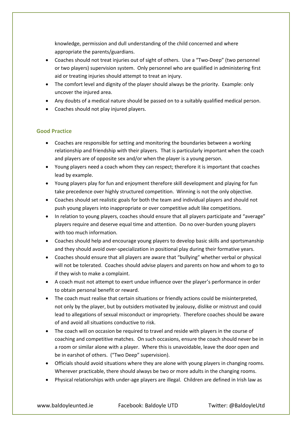knowledge, permission and dull understanding of the child concerned and where appropriate the parents/guardians.

- Coaches should not treat injuries out of sight of others. Use a "Two-Deep" (two personnel or two players) supervision system. Only personnel who are qualified in administering first aid or treating injuries should attempt to treat an injury.
- The comfort level and dignity of the player should always be the priority. Example: only uncover the injured area.
- Any doubts of a medical nature should be passed on to a suitably qualified medical person.
- Coaches should not play injured players.

#### **Good Practice**

- Coaches are responsible for setting and monitoring the boundaries between a working relationship and friendship with their players. That is particularly important when the coach and players are of opposite sex and/or when the player is a young person.
- Young players need a coach whom they can respect; therefore it is important that coaches lead by example.
- Young players play for fun and enjoyment therefore skill development and playing for fun take precedence over highly structured competition. Winning is not the only objective.
- Coaches should set realistic goals for both the team and individual players and should not push young players into inappropriate or over competitive adult like competitions.
- In relation to young players, coaches should ensure that all players participate and "average" players require and deserve equal time and attention. Do no over-burden young players with too much information.
- Coaches should help and encourage young players to develop basic skills and sportsmanship and they should avoid over-specialization in positional play during their formative years.
- Coaches should ensure that all players are aware that "bullying" whether verbal or physical will not be tolerated. Coaches should advise players and parents on how and whom to go to if they wish to make a complaint.
- A coach must not attempt to exert undue influence over the player's performance in order to obtain personal benefit or reward.
- The coach must realise that certain situations or friendly actions could be misinterpreted, not only by the player, but by outsiders motivated by jealousy, dislike or mistrust and could lead to allegations of sexual misconduct or impropriety. Therefore coaches should be aware of and avoid all situations conductive to risk.
- The coach will on occasion be required to travel and reside with players in the course of coaching and competitive matches. On such occasions, ensure the coach should never be in a room or similar alone with a player. Where this is unavoidable, leave the door open and be in earshot of others. ("Two Deep" supervision).
- Officials should avoid situations where they are alone with young players in changing rooms. Wherever practicable, there should always be two or more adults in the changing rooms.
- Physical relationships with under-age players are illegal. Children are defined in Irish law as

www.baldoyleunted.ie Facebook: Baldoyle UTD Facebook: Baldoyle UTD Fuitter: @BaldoyleUtd